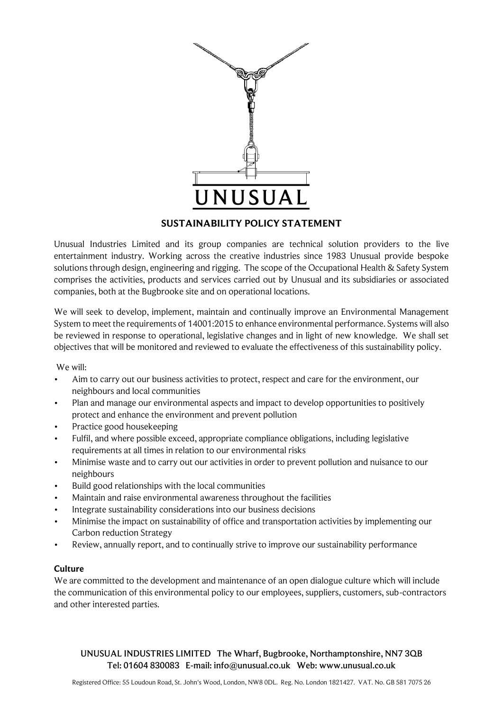

# **SUSTAINABILITY POLICY STATEMENT**

Unusual Industries Limited and its group companies are technical solution providers to the live entertainment industry. Working across the creative industries since 1983 Unusual provide bespoke solutions through design, engineering and rigging. The scope of the Occupational Health & Safety System comprises the activities, products and services carried out by Unusual and its subsidiaries or associated companies, both at the Bugbrooke site and on operational locations.

We will seek to develop, implement, maintain and continually improve an Environmental Management System to meet the requirements of 14001:2015 to enhance environmental performance. Systems will also be reviewed in response to operational, legislative changes and in light of new knowledge. We shall set objectives that will be monitored and reviewed to evaluate the effectiveness of this sustainability policy.

We will:

- Aim to carry out our business activities to protect, respect and care for the environment, our neighbours and local communities
- Plan and manage our environmental aspects and impact to develop opportunities to positively protect and enhance the environment and prevent pollution
- Practice good housekeeping
- Fulfil, and where possible exceed, appropriate compliance obligations, including legislative requirements at all times in relation to our environmental risks
- Minimise waste and to carry out our activities in order to prevent pollution and nuisance to our neighbours
- Build good relationships with the local communities
- Maintain and raise environmental awareness throughout the facilities
- Integrate sustainability considerations into our business decisions
- Minimise the impact on sustainability of office and transportation activities by implementing our Carbon reduction Strategy
- Review, annually report, and to continually strive to improve our sustainability performance

# **Culture**

We are committed to the development and maintenance of an open dialogue culture which will include the communication of this environmental policy to our employees, suppliers, customers, sub-contractors and other interested parties.

UNUSUAL INDUSTRIES LIMITED The Wharf, Bugbrooke, Northamptonshire, NN7 3QB Tel: 01604 830083 E-mail: info@unusual.co.uk Web: www.unusual.co.uk